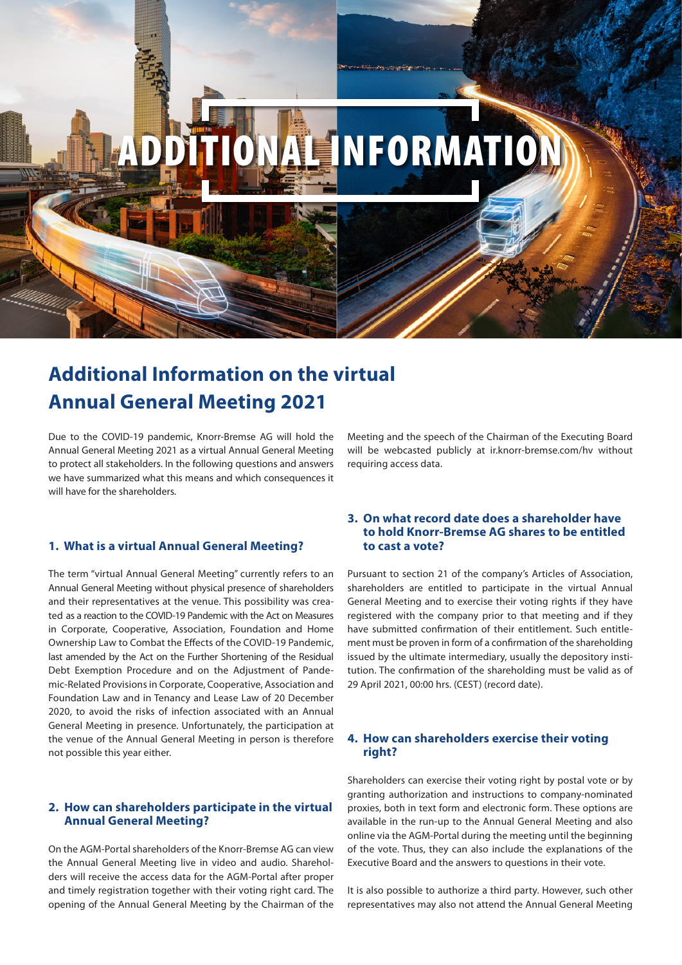

# **Additional Information on the virtual Annual General Meeting 2021**

Due to the COVID-19 pandemic, Knorr-Bremse AG will hold the Annual General Meeting 2021 as a virtual Annual General Meeting to protect all stakeholders. In the following questions and answers we have summarized what this means and which consequences it will have for the shareholders.

# **1. What is a virtual Annual General Meeting?**

The term "virtual Annual General Meeting" currently refers to an Annual General Meeting without physical presence of shareholders and their representatives at the venue. This possibility was created as a reaction to the COVID-19 Pandemic with the Act on Measures in Corporate, Cooperative, Association, Foundation and Home Ownership Law to Combat the Effects of the COVID-19 Pandemic, last amended by the Act on the Further Shortening of the Residual Debt Exemption Procedure and on the Adjustment of Pandemic-Related Provisions in Corporate, Cooperative, Association and Foundation Law and in Tenancy and Lease Law of 20 December 2020, to avoid the risks of infection associated with an Annual General Meeting in presence. Unfortunately, the participation at the venue of the Annual General Meeting in person is therefore not possible this year either.

# **2. How can shareholders participate in the virtual Annual General Meeting?**

On the AGM-Portal shareholders of the Knorr-Bremse AG can view the Annual General Meeting live in video and audio. Shareholders will receive the access data for the AGM-Portal after proper and timely registration together with their voting right card. The opening of the Annual General Meeting by the Chairman of the

Meeting and the speech of the Chairman of the Executing Board will be webcasted publicly at ir.knorr-bremse.com/hv without requiring access data.

# **3. On what record date does a shareholder have to hold Knorr-Bremse AG shares to be entitled to cast a vote?**

Pursuant to section 21 of the company's Articles of Association, shareholders are entitled to participate in the virtual Annual General Meeting and to exercise their voting rights if they have registered with the company prior to that meeting and if they have submitted confirmation of their entitlement. Such entitlement must be proven in form of a confirmation of the shareholding issued by the ultimate intermediary, usually the depository institution. The confirmation of the shareholding must be valid as of 29 April 2021, 00:00 hrs. (CEST) (record date).

# **4. How can shareholders exercise their voting right?**

Shareholders can exercise their voting right by postal vote or by granting authorization and instructions to company-nominated proxies, both in text form and electronic form. These options are available in the run-up to the Annual General Meeting and also online via the AGM-Portal during the meeting until the beginning of the vote. Thus, they can also include the explanations of the Executive Board and the answers to questions in their vote.

It is also possible to authorize a third party. However, such other representatives may also not attend the Annual General Meeting